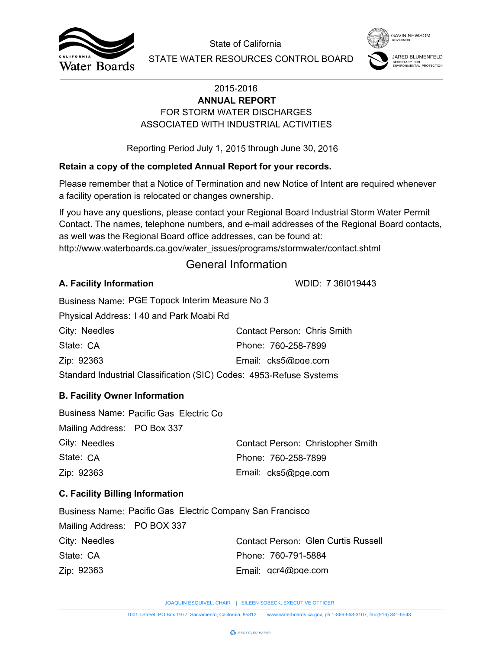



# FOR STORM WATER DISCHARGES **ANNUAL REPORT** ASSOCIATED WITH INDUSTRIAL ACTIVITIES

## **Retain a copy of the completed Annual Report for your records.**

## General Information

## **A. Facility Information**

| City: Needles                                                       | Contact Person: Chris Smith |  |  |  |
|---------------------------------------------------------------------|-----------------------------|--|--|--|
| State: CA                                                           | Phone: 760-258-7899         |  |  |  |
| Zip: 92363                                                          | Email: cks5@pge.com         |  |  |  |
| Standard Industrial Classification (SIC) Codes: 4953-Refuse Systems |                             |  |  |  |

## **B. Facility Owner Information**

|                                        |                                                                   | State of California                                                                                                                                                                                                                                                        | <b>GAVIN NEWSOM</b>                             |
|----------------------------------------|-------------------------------------------------------------------|----------------------------------------------------------------------------------------------------------------------------------------------------------------------------------------------------------------------------------------------------------------------------|-------------------------------------------------|
| Water Boards                           |                                                                   | STATE WATER RESOURCES CONTROL BOARD                                                                                                                                                                                                                                        | SECRETARY FOR<br><b>NVIRONMENTAL PROTECTION</b> |
|                                        |                                                                   | 2015-2016<br><b>ANNUAL REPORT</b>                                                                                                                                                                                                                                          |                                                 |
|                                        |                                                                   | FOR STORM WATER DISCHARGES                                                                                                                                                                                                                                                 |                                                 |
|                                        |                                                                   | ASSOCIATED WITH INDUSTRIAL ACTIVITIES                                                                                                                                                                                                                                      |                                                 |
|                                        |                                                                   | Reporting Period July 1, 2015 through June 30, 2016                                                                                                                                                                                                                        |                                                 |
|                                        |                                                                   | Retain a copy of the completed Annual Report for your records.                                                                                                                                                                                                             |                                                 |
|                                        | a facility operation is relocated or changes ownership.           | Please remember that a Notice of Termination and new Notice of Intent are required whenever                                                                                                                                                                                |                                                 |
|                                        | as well was the Regional Board office addresses, can be found at: | If you have any questions, please contact your Regional Board Industrial Storm Water Permit<br>Contact. The names, telephone numbers, and e-mail addresses of the Regional Board contacts,<br>http://www.waterboards.ca.gov/water_issues/programs/stormwater/contact.shtml |                                                 |
|                                        |                                                                   | <b>General Information</b>                                                                                                                                                                                                                                                 |                                                 |
| A. Facility Information                |                                                                   | WDID: 7 361019443                                                                                                                                                                                                                                                          |                                                 |
|                                        | Business Name: PGE Topock Interim Measure No 3                    |                                                                                                                                                                                                                                                                            |                                                 |
|                                        | Physical Address: 140 and Park Moabi Rd                           |                                                                                                                                                                                                                                                                            |                                                 |
| City: Needles                          |                                                                   | <b>Contact Person: Chris Smith</b>                                                                                                                                                                                                                                         |                                                 |
| State: CA                              |                                                                   | Phone: 760-258-7899                                                                                                                                                                                                                                                        |                                                 |
| Zip: 92363                             |                                                                   | Email: cks5@pge.com                                                                                                                                                                                                                                                        |                                                 |
|                                        |                                                                   | Standard Industrial Classification (SIC) Codes: 4953-Refuse Systems                                                                                                                                                                                                        |                                                 |
| <b>B. Facility Owner Information</b>   |                                                                   |                                                                                                                                                                                                                                                                            |                                                 |
| Mailing Address: PO Box 337            | Business Name: Pacific Gas Electric Co                            |                                                                                                                                                                                                                                                                            |                                                 |
| City: Needles                          |                                                                   | Contact Person: Christopher Smith                                                                                                                                                                                                                                          |                                                 |
| State: CA                              |                                                                   | Phone: 760-258-7899                                                                                                                                                                                                                                                        |                                                 |
| Zip: 92363                             |                                                                   | Email: cks5@pge.com                                                                                                                                                                                                                                                        |                                                 |
| <b>C. Facility Billing Information</b> |                                                                   |                                                                                                                                                                                                                                                                            |                                                 |
|                                        | <b>Business Name: Pacific Gas Electric Company San Francisco</b>  |                                                                                                                                                                                                                                                                            |                                                 |
| Mailing Address: PO BOX 337            |                                                                   |                                                                                                                                                                                                                                                                            |                                                 |
| City: Needles                          |                                                                   | <b>Contact Person: Glen Curtis Russell</b>                                                                                                                                                                                                                                 |                                                 |
| State: CA                              |                                                                   | Phone: 760-791-5884                                                                                                                                                                                                                                                        |                                                 |
| Zip: 92363                             |                                                                   | Email: gcr4@pge.com                                                                                                                                                                                                                                                        |                                                 |
|                                        |                                                                   | JOAQUIN ESQUIVEL, CHAIR   EILEEN SOBECK, EXECUTIVE OFFICER                                                                                                                                                                                                                 |                                                 |
|                                        |                                                                   | 1001   Street, PO Box 1977, Sacramento, California, 95812     www.waterboards.ca.gov, ph:1-866-563-3107, fax:(916) 341-5543                                                                                                                                                |                                                 |

## **C. Facility Billing Information**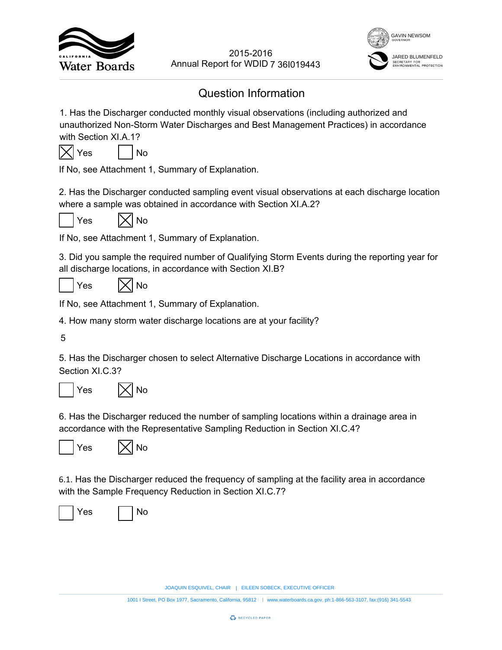



# Question Information

1. Has the Discharger conducted monthly visual observations (including authorized and unauthorized Non-Storm Water Discharges and Best Management Practices) in accordance with Section XI.A.1? EVERT YOUTHERN SOBECTS AND MOTHERN SOMETHED WORD 7 361019443<br>
Information<br>
and best Management Practices) in accordance<br>
tion.<br>
EILEN Management Practices) in accordance<br>
tion.<br>
with Section XI.A.2?<br>
tion.<br>
and Management 2015-2016<br>
18<br>
18<br>
18<br>
18<br>
18<br>
2011 I Strem Mater Discharges and Best Management Practices) in accordance<br>
3-80mm Mater Discharges and Best Management Practices) in accordance<br>
1.12<br>
1.12<br>
1.16<br>
2.1.12<br>
1.16<br>
2.1.1.1.5 Lu



If No, see Attachment 1, Summary of Explanation.

2. Has the Discharger conducted sampling event visual observations at each discharge location where a sample was obtained in accordance with Section XI.A.2?





If No, see Attachment 1, Summary of Explanation.

3. Did you sample the required number of Qualifying Storm Events during the reporting year for all discharge locations, in accordance with Section XI.B?

 $Yes$   $|\times|$  No

If No, see Attachment 1, Summary of Explanation.

4. How many storm water discharge locations are at your facility?

5

5. Has the Discharger chosen to select Alternative Discharge Locations in accordance with Section XI.C.3?



6. Has the Discharger reduced the number of sampling locations within a drainage area in accordance with the Representative Sampling Reduction in Section XI.C.4?





6.1. Has the Discharger reduced the frequency of sampling at the facility area in accordance with the Sample Frequency Reduction in Section XI.C.7?

Yes I I No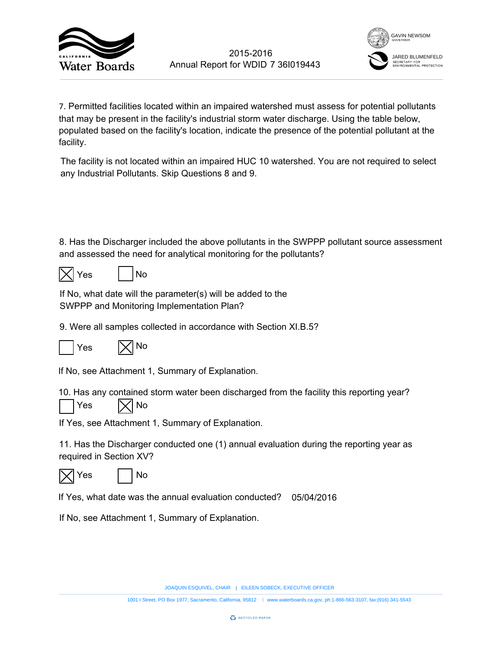



7. Permitted facilities located within an impaired watershed must assess for potential pollutants that may be present in the facility's industrial storm water discharge. Using the table below, populated based on the facility's location, indicate the presence of the potential pollutant at the facility. 7 36l019443<br>
rshed must asse<br>
eter discharge. U<br>
presence of the<br>
watershed. You<br>
n the SWPPP pc<br>
ne pollutants?<br>
b the<br>
tion XI.B.5?<br>
aluation during th<br>
d? 05/04/2016 2015-2016<br>
1001 Is Annual Report for WDID 7 361019443<br>
1001 Is conceded within an impaired watersheed must assess for potential pollutants<br>
artistic street of the final is the metallity's industrial storm water discharge.

The facility is not located within an impaired HUC 10 watershed. You are not required to select any Industrial Pollutants. Skip Questions 8 and 9.

8. Has the Discharger included the above pollutants in the SWPPP pollutant source assessment and assessed the need for analytical monitoring for the pollutants?

|--|

| ρς |  | No |
|----|--|----|
|----|--|----|

If No, what date will the parameter(s) will be added to the SWPPP and Monitoring Implementation Plan?

9. Were all samples collected in accordance with Section XI.B.5?



If No, see Attachment 1, Summary of Explanation.

10. Has any contained storm water been discharged from the facility this reporting year?





If Yes, see Attachment 1, Summary of Explanation.

11. Has the Discharger conducted one (1) annual evaluation during the reporting year as required in Section XV?





If Yes, what date was the annual evaluation conducted? 05/04/2016

If No, see Attachment 1, Summary of Explanation.

JOAQUIN ESQUIVEL, CHAIR | EILEEN SOBECK, EXECUTIVE OFFICER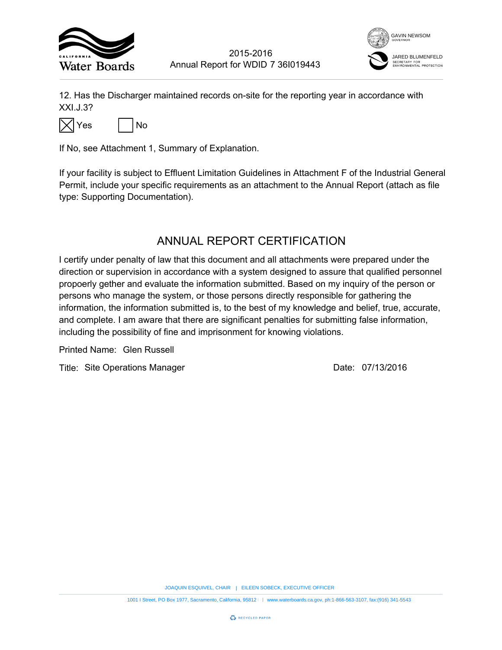



12. Has the Discharger maintained records on-site for the reporting year in accordance with XXI.J.3?



If No, see Attachment 1, Summary of Explanation.

If your facility is subject to Effluent Limitation Guidelines in Attachment F of the Industrial General Permit, include your specific requirements as an attachment to the Annual Report (attach as file type: Supporting Documentation).

# ANNUAL REPORT CERTIFICATION

I certify under penalty of law that this document and all attachments were prepared under the direction or supervision in accordance with a system designed to assure that qualified personnel propoerly gether and evaluate the information submitted. Based on my inquiry of the person or persons who manage the system, or those persons directly responsible for gathering the information, the information submitted is, to the best of my knowledge and belief, true, accurate, and complete. I am aware that there are significant penalties for submitting false information, including the possibility of fine and imprisonment for knowing violations. 7 36I019443<br>
The reporting year in accordance<br>
the reporting year in accordance<br>
the reporting of the Industria<br>
ERTIFICATION<br>
Ill attachments were prepared und<br>
designed to assure that qualified p<br>
the pirectly responsibl EXECUTIVE THE SURFACT CONDIDENT TO THE SURFACT THE SURFACT CONDIDENT TO THE SURFACT THE SURFACT THE SURFACT OF THE SURFACT OF THE SURFACT OF THE SURFACT OF DESCRIPTION TO THE SURFACT CONDUCT CONDUCT THE CATION CONDIDENT SU 2015-2016<br>
1201 Experimental Report for WDID 7 361019443<br>
2019<br>
2019<br>
2019<br>
2019<br>
2019<br>
2019<br>
2019<br>
2019<br>
2019<br>
2019<br>
2019<br>
2019<br>
2019<br>
2019<br>
2019<br>
2019<br>
2019<br>
2019<br>
2019<br>
2019<br>
2019<br>
2019<br>
2019<br>
2019<br>
2019<br>
2019<br>
2019<br>
20

Printed Name:

Title: Site Operations Manager **Container Strutter Container 1** Date: 07/13/2016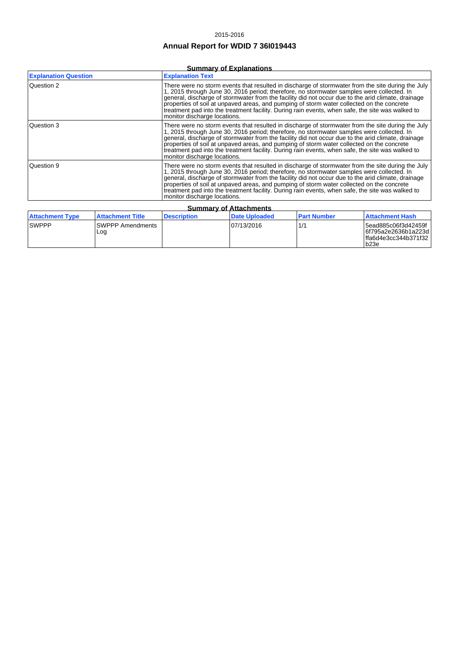#### 2015-2016

## **Annual Report for WDID 7 36I019443**

### **Summary of Explanations**

| <b>Explanation Question</b> | <b>Explanation Text</b>                                                                                                                                                                                                                                                                                                                                                                                                                                                                                                               |  |  |  |
|-----------------------------|---------------------------------------------------------------------------------------------------------------------------------------------------------------------------------------------------------------------------------------------------------------------------------------------------------------------------------------------------------------------------------------------------------------------------------------------------------------------------------------------------------------------------------------|--|--|--|
| Question 2                  | There were no storm events that resulted in discharge of stormwater from the site during the July<br>1, 2015 through June 30, 2016 period; therefore, no stormwater samples were collected. In<br>general, discharge of stormwater from the facility did not occur due to the arid climate, drainage<br>properties of soil at unpaved areas, and pumping of storm water collected on the concrete<br>treatment pad into the treatment facility. During rain events, when safe, the site was walked to<br>monitor discharge locations. |  |  |  |
| Question 3                  | There were no storm events that resulted in discharge of stormwater from the site during the July<br>1, 2015 through June 30, 2016 period; therefore, no stormwater samples were collected. In<br>general, discharge of stormwater from the facility did not occur due to the arid climate, drainage<br>properties of soil at unpaved areas, and pumping of storm water collected on the concrete<br>treatment pad into the treatment facility. During rain events, when safe, the site was walked to<br>monitor discharge locations. |  |  |  |
| Question 9                  | There were no storm events that resulted in discharge of stormwater from the site during the July<br>1, 2015 through June 30, 2016 period; therefore, no stormwater samples were collected. In<br>general, discharge of stormwater from the facility did not occur due to the arid climate, drainage<br>properties of soil at unpaved areas, and pumping of storm water collected on the concrete<br>treatment pad into the treatment facility. During rain events, when safe, the site was walked to<br>monitor discharge locations. |  |  |  |
| Summary of Attachmante      |                                                                                                                                                                                                                                                                                                                                                                                                                                                                                                                                       |  |  |  |

| <b>Summary of Attachments</b> |                                 |                    |                      |                    |                                                                                   |
|-------------------------------|---------------------------------|--------------------|----------------------|--------------------|-----------------------------------------------------------------------------------|
| <b>Attachment Type</b>        | l Attachment Title              | <b>Description</b> | <b>Date Uploaded</b> | <b>Part Number</b> | l Attachment Hash                                                                 |
| <b>SWPPP</b>                  | <b>ISWPPP Amendments</b><br>Log |                    | 07/13/2016           |                    | 5ead885c06f3d42459f<br> 6f795a2e2636b1a223d  <br> ffa6d4e3cc344b371f32  <br>lb23e |